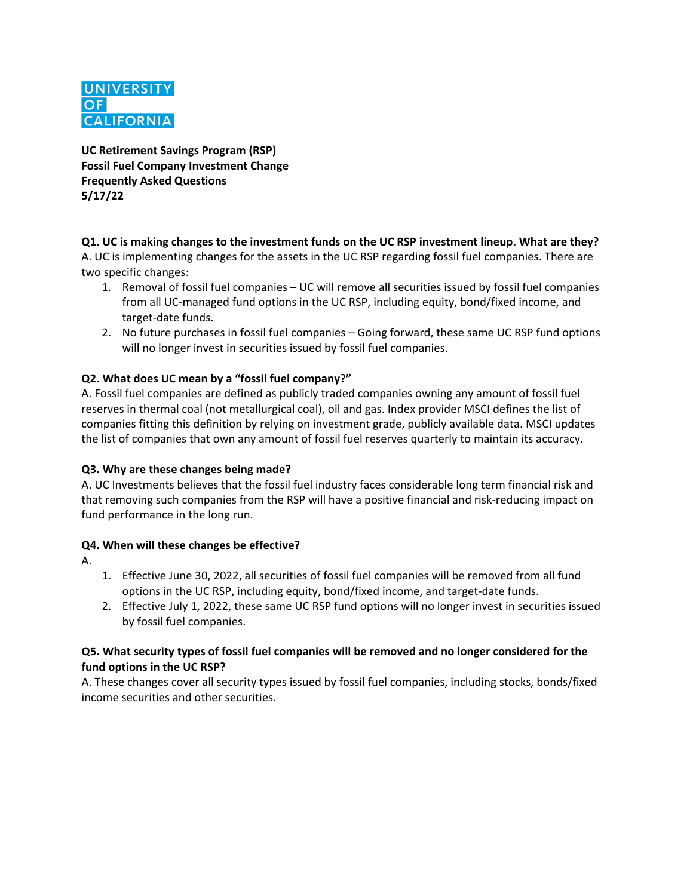

**UC Retirement Savings Program (RSP) Fossil Fuel Company Investment Change Frequently Asked Questions 5/17/22**

### **Q1. UC is making changes to the investment funds on the UC RSP investment lineup. What are they?**

A. UC is implementing changes for the assets in the UC RSP regarding fossil fuel companies. There are two specific changes:

- 1. Removal of fossil fuel companies UC will remove all securities issued by fossil fuel companies from all UC-managed fund options in the UC RSP, including equity, bond/fixed income, and target-date funds.
- 2. No future purchases in fossil fuel companies Going forward, these same UC RSP fund options will no longer invest in securities issued by fossil fuel companies.

## **Q2. What does UC mean by a "fossil fuel company?"**

A. Fossil fuel companies are defined as publicly traded companies owning any amount of fossil fuel reserves in thermal coal (not metallurgical coal), oil and gas. Index provider MSCI defines the list of companies fitting this definition by relying on investment grade, publicly available data. MSCI updates the list of companies that own any amount of fossil fuel reserves quarterly to maintain its accuracy.

### **Q3. Why are these changes being made?**

A. UC Investments believes that the fossil fuel industry faces considerable long term financial risk and that removing such companies from the RSP will have a positive financial and risk-reducing impact on fund performance in the long run.

### **Q4. When will these changes be effective?**

- A.
- 1. Effective June 30, 2022, all securities of fossil fuel companies will be removed from all fund options in the UC RSP, including equity, bond/fixed income, and target-date funds.
- 2. Effective July 1, 2022, these same UC RSP fund options will no longer invest in securities issued by fossil fuel companies.

### **Q5. What security types of fossil fuel companies will be removed and no longer considered for the fund options in the UC RSP?**

A. These changes cover all security types issued by fossil fuel companies, including stocks, bonds/fixed income securities and other securities.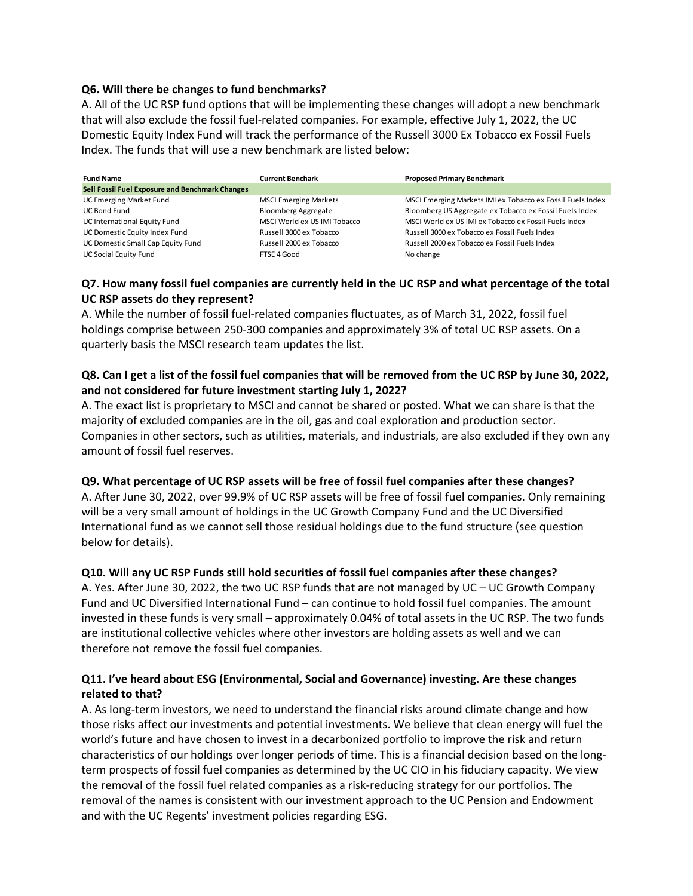### **Q6. Will there be changes to fund benchmarks?**

A. All of the UC RSP fund options that will be implementing these changes will adopt a new benchmark that will also exclude the fossil fuel-related companies. For example, effective July 1, 2022, the UC Domestic Equity Index Fund will track the performance of the Russell 3000 Ex Tobacco ex Fossil Fuels Index. The funds that will use a new benchmark are listed below:

| <b>Fund Name</b>                                | <b>Current Benchark</b>      | <b>Proposed Primary Benchmark</b>                          |
|-------------------------------------------------|------------------------------|------------------------------------------------------------|
| Sell Fossil Fuel Exposure and Benchmark Changes |                              |                                                            |
| UC Emerging Market Fund                         | <b>MSCI Emerging Markets</b> | MSCI Emerging Markets IMI ex Tobacco ex Fossil Fuels Index |
| <b>UC Bond Fund</b>                             | <b>Bloomberg Aggregate</b>   | Bloomberg US Aggregate ex Tobacco ex Fossil Fuels Index    |
| UC International Equity Fund                    | MSCI World ex US IMI Tobacco | MSCI World ex US IMI ex Tobacco ex Fossil Fuels Index      |
| UC Domestic Equity Index Fund                   | Russell 3000 ex Tobacco      | Russell 3000 ex Tobacco ex Fossil Fuels Index              |
| UC Domestic Small Cap Equity Fund               | Russell 2000 ex Tobacco      | Russell 2000 ex Tobacco ex Fossil Fuels Index              |
| UC Social Equity Fund                           | FTSE 4 Good                  | No change                                                  |

## **Q7. How many fossil fuel companies are currently held in the UC RSP and what percentage of the total UC RSP assets do they represent?**

A. While the number of fossil fuel-related companies fluctuates, as of March 31, 2022, fossil fuel holdings comprise between 250-300 companies and approximately 3% of total UC RSP assets. On a quarterly basis the MSCI research team updates the list.

### **Q8. Can I get a list of the fossil fuel companies that will be removed from the UC RSP by June 30, 2022, and not considered for future investment starting July 1, 2022?**

A. The exact list is proprietary to MSCI and cannot be shared or posted. What we can share is that the majority of excluded companies are in the oil, gas and coal exploration and production sector. Companies in other sectors, such as utilities, materials, and industrials, are also excluded if they own any amount of fossil fuel reserves.

### **Q9. What percentage of UC RSP assets will be free of fossil fuel companies after these changes?**

A. After June 30, 2022, over 99.9% of UC RSP assets will be free of fossil fuel companies. Only remaining will be a very small amount of holdings in the UC Growth Company Fund and the UC Diversified International fund as we cannot sell those residual holdings due to the fund structure (see question below for details).

### **Q10. Will any UC RSP Funds still hold securities of fossil fuel companies after these changes?**

A. Yes. After June 30, 2022, the two UC RSP funds that are not managed by UC – UC Growth Company Fund and UC Diversified International Fund – can continue to hold fossil fuel companies. The amount invested in these funds is very small – approximately 0.04% of total assets in the UC RSP. The two funds are institutional collective vehicles where other investors are holding assets as well and we can therefore not remove the fossil fuel companies.

### **Q11. I've heard about ESG (Environmental, Social and Governance) investing. Are these changes related to that?**

A. As long-term investors, we need to understand the financial risks around climate change and how those risks affect our investments and potential investments. We believe that clean energy will fuel the world's future and have chosen to invest in a decarbonized portfolio to improve the risk and return characteristics of our holdings over longer periods of time. This is a financial decision based on the longterm prospects of fossil fuel companies as determined by the UC CIO in his fiduciary capacity. We view the removal of the fossil fuel related companies as a risk-reducing strategy for our portfolios. The removal of the names is consistent with our investment approach to the UC Pension and Endowment and with the UC Regents' investment policies regarding ESG.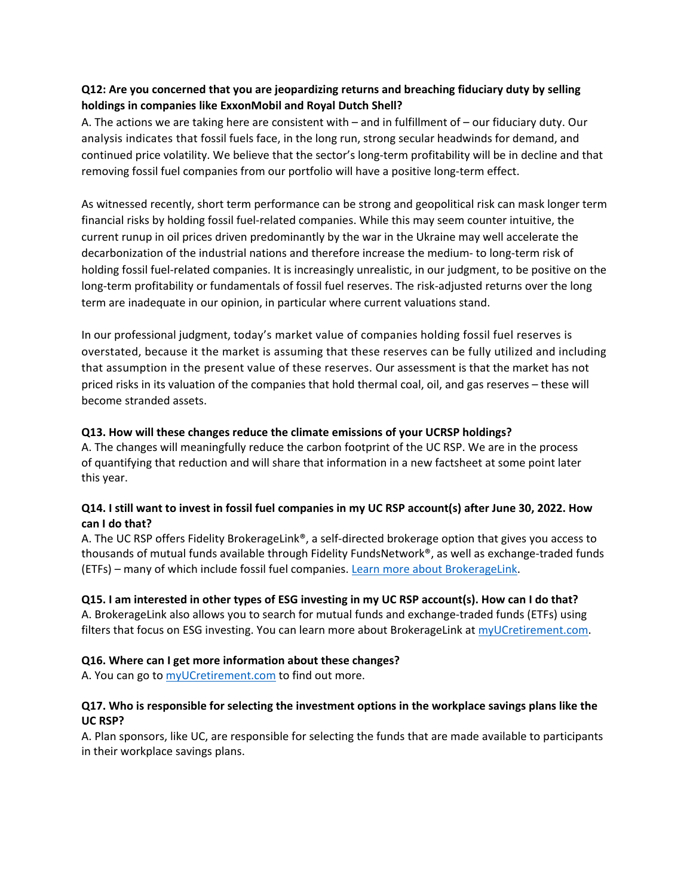# **Q12: Are you concerned that you are jeopardizing returns and breaching fiduciary duty by selling holdings in companies like ExxonMobil and Royal Dutch Shell?**

A. The actions we are taking here are consistent with – and in fulfillment of – our fiduciary duty. Our analysis indicates that fossil fuels face, in the long run, strong secular headwinds for demand, and continued price volatility. We believe that the sector's long-term profitability will be in decline and that removing fossil fuel companies from our portfolio will have a positive long-term effect.

As witnessed recently, short term performance can be strong and geopolitical risk can mask longer term financial risks by holding fossil fuel-related companies. While this may seem counter intuitive, the current runup in oil prices driven predominantly by the war in the Ukraine may well accelerate the decarbonization of the industrial nations and therefore increase the medium- to long-term risk of holding fossil fuel-related companies. It is increasingly unrealistic, in our judgment, to be positive on the long-term profitability or fundamentals of fossil fuel reserves. The risk-adjusted returns over the long term are inadequate in our opinion, in particular where current valuations stand.

In our professional judgment, today's market value of companies holding fossil fuel reserves is overstated, because it the market is assuming that these reserves can be fully utilized and including that assumption in the present value of these reserves. Our assessment is that the market has not priced risks in its valuation of the companies that hold thermal coal, oil, and gas reserves – these will become stranded assets.

### **Q13. How will these changes reduce the climate emissions of your UCRSP holdings?**

A. The changes will meaningfully reduce the carbon footprint of the UC RSP. We are in the process of quantifying that reduction and will share that information in a new factsheet at some point later this year.

## **Q14. I still want to invest in fossil fuel companies in my UC RSP account(s) after June 30, 2022. How can I do that?**

A. The UC RSP offers Fidelity BrokerageLink®, a self-directed brokerage option that gives you access to thousands of mutual funds available through Fidelity FundsNetwork®, as well as exchange-traded funds (ETFs) – many of which include fossil fuel companies. [Learn more about BrokerageLink.](https://myucretirement.com/resource/85)

## **Q15. I am interested in other types of ESG investing in my UC RSP account(s). How can I do that?**

A. BrokerageLink also allows you to search for mutual funds and exchange-traded funds (ETFs) using filters that focus on ESG investing. You can learn more about BrokerageLink a[t myUCretirement.com.](https://myucretirement.com/resource/85)

### **Q16. Where can I get more information about these changes?**

A. You can go to **myUCretirement.com** to find out more.

### **Q17. Who is responsible for selecting the investment options in the workplace savings plans like the UC RSP?**

A. Plan sponsors, like UC, are responsible for selecting the funds that are made available to participants in their workplace savings plans.